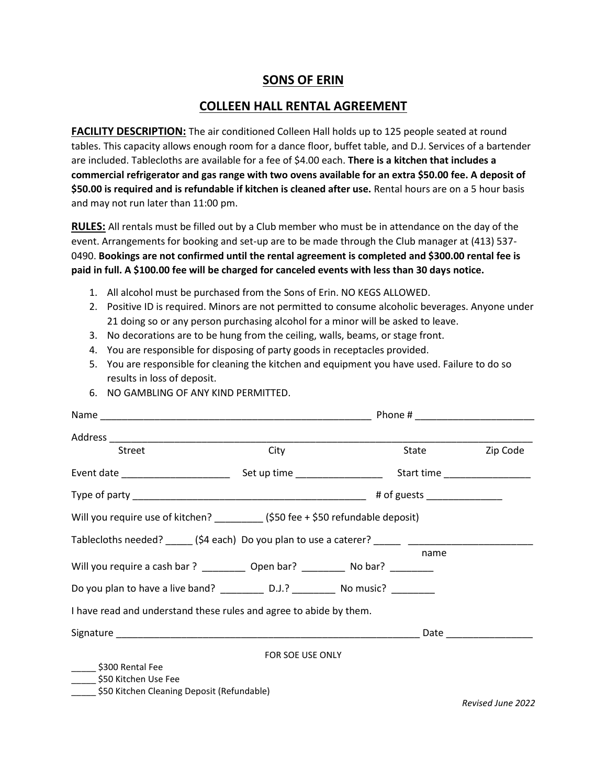## **SONS OF ERIN**

## **COLLEEN HALL RENTAL AGREEMENT**

**FACILITY DESCRIPTION:** The air conditioned Colleen Hall holds up to 125 people seated at round tables. This capacity allows enough room for a dance floor, buffet table, and D.J. Services of a bartender are included. Tablecloths are available for a fee of \$4.00 each. **There is a kitchen that includes a commercial refrigerator and gas range with two ovens available for an extra \$50.00 fee. A deposit of \$50.00 is required and is refundable if kitchen is cleaned after use.** Rental hours are on a 5 hour basis and may not run later than 11:00 pm.

**RULES:** All rentals must be filled out by a Club member who must be in attendance on the day of the event. Arrangements for booking and set-up are to be made through the Club manager at (413) 537- 0490. **Bookings are not confirmed until the rental agreement is completed and \$300.00 rental fee is paid in full. A \$100.00 fee will be charged for canceled events with less than 30 days notice.**

- 1. All alcohol must be purchased from the Sons of Erin. NO KEGS ALLOWED.
- 2. Positive ID is required. Minors are not permitted to consume alcoholic beverages. Anyone under 21 doing so or any person purchasing alcohol for a minor will be asked to leave.
- 3. No decorations are to be hung from the ceiling, walls, beams, or stage front.
- 4. You are responsible for disposing of party goods in receptacles provided.
- 5. You are responsible for cleaning the kitchen and equipment you have used. Failure to do so results in loss of deposit.

| Street                                                                                                                                                                                                                          | City             | <b>State State</b> | Zip Code                      |
|---------------------------------------------------------------------------------------------------------------------------------------------------------------------------------------------------------------------------------|------------------|--------------------|-------------------------------|
|                                                                                                                                                                                                                                 |                  |                    | Start time __________________ |
|                                                                                                                                                                                                                                 |                  |                    |                               |
| Will you require use of kitchen? __________ (\$50 fee + \$50 refundable deposit)                                                                                                                                                |                  |                    |                               |
| Tablecloths needed? (\$4 each) Do you plan to use a caterer? The contract of the state of the state of the state of the state of the state of the state of the state of the state of the state of the state of the state of the |                  |                    |                               |
| Will you require a cash bar ? _____________ Open bar? ____________ No bar? __________                                                                                                                                           |                  | name               |                               |
| Do you plan to have a live band? ____________ D.J.? _____________ No music? __________                                                                                                                                          |                  |                    |                               |
| I have read and understand these rules and agree to abide by them.                                                                                                                                                              |                  |                    |                               |
|                                                                                                                                                                                                                                 |                  |                    |                               |
|                                                                                                                                                                                                                                 | FOR SOE USE ONLY |                    |                               |
| _______ \$300 Rental Fee                                                                                                                                                                                                        |                  |                    |                               |
| \$50 Kitchen Use Fee                                                                                                                                                                                                            |                  |                    |                               |
| \$50 Kitchen Cleaning Deposit (Refundable)                                                                                                                                                                                      |                  |                    |                               |

6. NO GAMBLING OF ANY KIND PERMITTED.

*Revised June 2022*